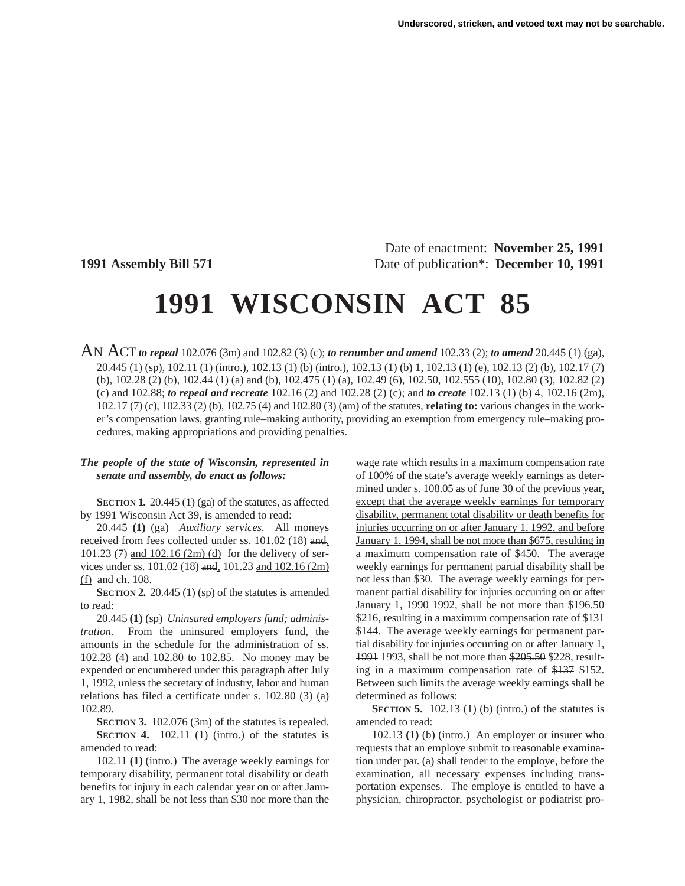Date of enactment: **November 25, 1991 1991 Assembly Bill 571** Date of publication\*: **December 10, 1991**

# **1991 WISCONSIN ACT 85**

AN ACT *to repeal* 102.076 (3m) and 102.82 (3) (c); *to renumber and amend* 102.33 (2); *to amend* 20.445 (1) (ga), 20.445 (1) (sp), 102.11 (1) (intro.), 102.13 (1) (b) (intro.), 102.13 (1) (b) 1, 102.13 (1) (e), 102.13 (2) (b), 102.17 (7) (b), 102.28 (2) (b), 102.44 (1) (a) and (b), 102.475 (1) (a), 102.49 (6), 102.50, 102.555 (10), 102.80 (3), 102.82 (2) (c) and 102.88; *to repeal and recreate* 102.16 (2) and 102.28 (2) (c); and *to create* 102.13 (1) (b) 4, 102.16 (2m), 102.17 (7) (c), 102.33 (2) (b), 102.75 (4) and 102.80 (3) (am) of the statutes, **relating to:** various changes in the worker's compensation laws, granting rule–making authority, providing an exemption from emergency rule–making procedures, making appropriations and providing penalties.

#### *The people of the state of Wisconsin, represented in senate and assembly, do enact as follows:*

**SECTION 1.** 20.445 (1) (ga) of the statutes, as affected by 1991 Wisconsin Act 39, is amended to read:

20.445 **(1)** (ga) *Auxiliary services.* All moneys received from fees collected under ss. 101.02 (18) and, 101.23 (7) and 102.16 (2m) (d) for the delivery of services under ss. 101.02 (18) and, 101.23 and 102.16 (2m) (f) and ch. 108.

**SECTION 2.** 20.445 (1) (sp) of the statutes is amended to read:

20.445 **(1)** (sp) *Uninsured employers fund; administration.* From the uninsured employers fund, the amounts in the schedule for the administration of ss. 102.28 (4) and 102.80 to 102.85. No money may be expended or encumbered under this paragraph after July 1, 1992, unless the secretary of industry, labor and human relations has filed a certificate under s. 102.80 (3) (a) 102.89.

**SECTION 3.** 102.076 (3m) of the statutes is repealed. **SECTION 4.** 102.11 (1) (intro.) of the statutes is amended to read:

102.11 **(1)** (intro.) The average weekly earnings for temporary disability, permanent total disability or death benefits for injury in each calendar year on or after January 1, 1982, shall be not less than \$30 nor more than the wage rate which results in a maximum compensation rate of 100% of the state's average weekly earnings as determined under s. 108.05 as of June 30 of the previous year, except that the average weekly earnings for temporary disability, permanent total disability or death benefits for injuries occurring on or after January 1, 1992, and before January 1, 1994, shall be not more than \$675, resulting in a maximum compensation rate of \$450. The average weekly earnings for permanent partial disability shall be not less than \$30. The average weekly earnings for permanent partial disability for injuries occurring on or after January 1, 1990 1992, shall be not more than \$196.50 \$216, resulting in a maximum compensation rate of \$131 \$144. The average weekly earnings for permanent partial disability for injuries occurring on or after January 1, 1991 1993, shall be not more than \$205.50 \$228, resulting in a maximum compensation rate of \$137 \$152. Between such limits the average weekly earnings shall be determined as follows:

**SECTION 5.** 102.13 (1) (b) (intro.) of the statutes is amended to read:

102.13 **(1)** (b) (intro.) An employer or insurer who requests that an employe submit to reasonable examination under par. (a) shall tender to the employe, before the examination, all necessary expenses including transportation expenses. The employe is entitled to have a physician, chiropractor, psychologist or podiatrist pro-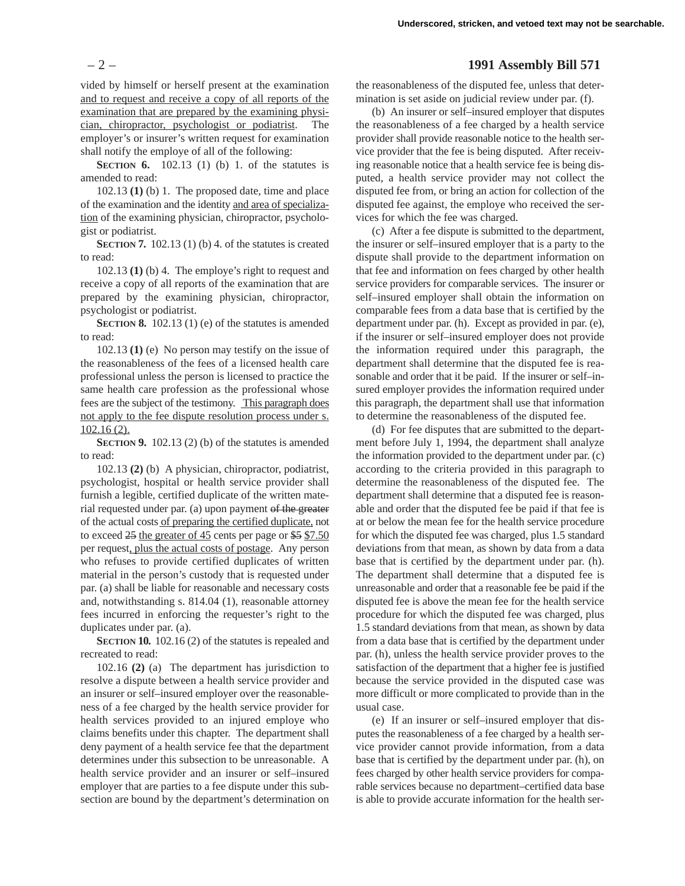vided by himself or herself present at the examination and to request and receive a copy of all reports of the examination that are prepared by the examining physician, chiropractor, psychologist or podiatrist. The employer's or insurer's written request for examination shall notify the employe of all of the following:

**SECTION 6.** 102.13 (1) (b) 1. of the statutes is amended to read:

102.13 **(1)** (b) 1. The proposed date, time and place of the examination and the identity and area of specialization of the examining physician, chiropractor, psychologist or podiatrist.

**SECTION 7.** 102.13 (1) (b) 4. of the statutes is created to read:

102.13 **(1)** (b) 4. The employe's right to request and receive a copy of all reports of the examination that are prepared by the examining physician, chiropractor, psychologist or podiatrist.

**SECTION 8.** 102.13 (1) (e) of the statutes is amended to read:

102.13 **(1)** (e) No person may testify on the issue of the reasonableness of the fees of a licensed health care professional unless the person is licensed to practice the same health care profession as the professional whose fees are the subject of the testimony. This paragraph does not apply to the fee dispute resolution process under s. 102.16 (2).

**SECTION 9.** 102.13 (2) (b) of the statutes is amended to read:

102.13 **(2)** (b) A physician, chiropractor, podiatrist, psychologist, hospital or health service provider shall furnish a legible, certified duplicate of the written material requested under par. (a) upon payment of the greater of the actual costs of preparing the certified duplicate, not to exceed 25 the greater of 45 cents per page or \$5 \$7.50 per request, plus the actual costs of postage. Any person who refuses to provide certified duplicates of written material in the person's custody that is requested under par. (a) shall be liable for reasonable and necessary costs and, notwithstanding s. 814.04 (1), reasonable attorney fees incurred in enforcing the requester's right to the duplicates under par. (a).

**SECTION 10.** 102.16 (2) of the statutes is repealed and recreated to read:

102.16 **(2)** (a) The department has jurisdiction to resolve a dispute between a health service provider and an insurer or self–insured employer over the reasonableness of a fee charged by the health service provider for health services provided to an injured employe who claims benefits under this chapter. The department shall deny payment of a health service fee that the department determines under this subsection to be unreasonable. A health service provider and an insurer or self–insured employer that are parties to a fee dispute under this subsection are bound by the department's determination on

## – 2 – **1991 Assembly Bill 571**

the reasonableness of the disputed fee, unless that determination is set aside on judicial review under par. (f).

(b) An insurer or self–insured employer that disputes the reasonableness of a fee charged by a health service provider shall provide reasonable notice to the health service provider that the fee is being disputed. After receiving reasonable notice that a health service fee is being disputed, a health service provider may not collect the disputed fee from, or bring an action for collection of the disputed fee against, the employe who received the services for which the fee was charged.

(c) After a fee dispute is submitted to the department, the insurer or self–insured employer that is a party to the dispute shall provide to the department information on that fee and information on fees charged by other health service providers for comparable services. The insurer or self–insured employer shall obtain the information on comparable fees from a data base that is certified by the department under par. (h). Except as provided in par. (e), if the insurer or self–insured employer does not provide the information required under this paragraph, the department shall determine that the disputed fee is reasonable and order that it be paid. If the insurer or self–insured employer provides the information required under this paragraph, the department shall use that information to determine the reasonableness of the disputed fee.

(d) For fee disputes that are submitted to the department before July 1, 1994, the department shall analyze the information provided to the department under par. (c) according to the criteria provided in this paragraph to determine the reasonableness of the disputed fee. The department shall determine that a disputed fee is reasonable and order that the disputed fee be paid if that fee is at or below the mean fee for the health service procedure for which the disputed fee was charged, plus 1.5 standard deviations from that mean, as shown by data from a data base that is certified by the department under par. (h). The department shall determine that a disputed fee is unreasonable and order that a reasonable fee be paid if the disputed fee is above the mean fee for the health service procedure for which the disputed fee was charged, plus 1.5 standard deviations from that mean, as shown by data from a data base that is certified by the department under par. (h), unless the health service provider proves to the satisfaction of the department that a higher fee is justified because the service provided in the disputed case was more difficult or more complicated to provide than in the usual case.

(e) If an insurer or self–insured employer that disputes the reasonableness of a fee charged by a health service provider cannot provide information, from a data base that is certified by the department under par. (h), on fees charged by other health service providers for comparable services because no department–certified data base is able to provide accurate information for the health ser-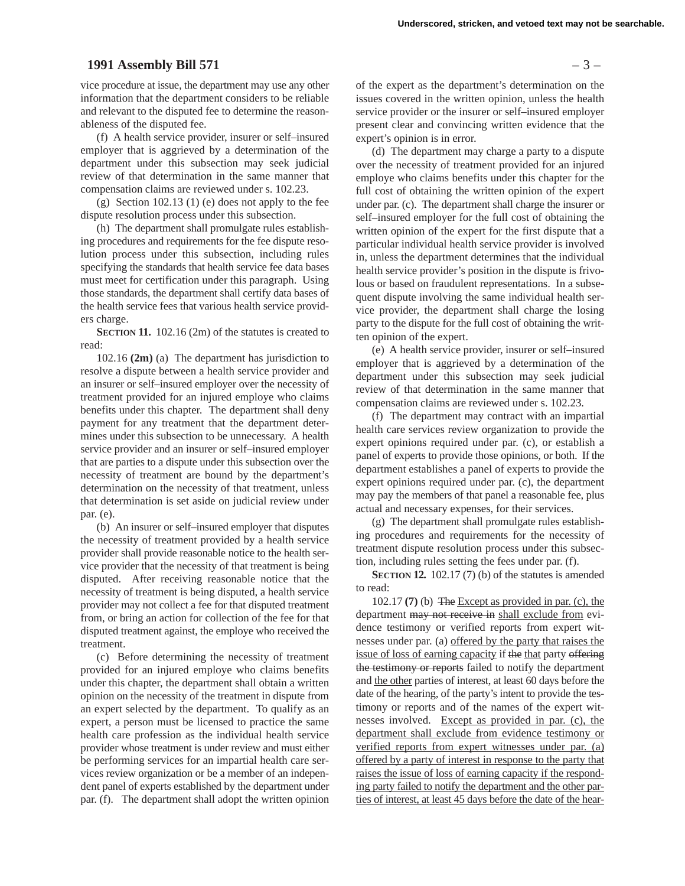### **1991 Assembly Bill 571** – 3 –

vice procedure at issue, the department may use any other information that the department considers to be reliable and relevant to the disputed fee to determine the reasonableness of the disputed fee.

(f) A health service provider, insurer or self–insured employer that is aggrieved by a determination of the department under this subsection may seek judicial review of that determination in the same manner that compensation claims are reviewed under s. 102.23.

(g) Section 102.13 (1) (e) does not apply to the fee dispute resolution process under this subsection.

(h) The department shall promulgate rules establishing procedures and requirements for the fee dispute resolution process under this subsection, including rules specifying the standards that health service fee data bases must meet for certification under this paragraph. Using those standards, the department shall certify data bases of the health service fees that various health service providers charge.

**SECTION 11.** 102.16 (2m) of the statutes is created to read:

102.16 **(2m)** (a) The department has jurisdiction to resolve a dispute between a health service provider and an insurer or self–insured employer over the necessity of treatment provided for an injured employe who claims benefits under this chapter. The department shall deny payment for any treatment that the department determines under this subsection to be unnecessary. A health service provider and an insurer or self–insured employer that are parties to a dispute under this subsection over the necessity of treatment are bound by the department's determination on the necessity of that treatment, unless that determination is set aside on judicial review under par. (e).

(b) An insurer or self–insured employer that disputes the necessity of treatment provided by a health service provider shall provide reasonable notice to the health service provider that the necessity of that treatment is being disputed. After receiving reasonable notice that the necessity of treatment is being disputed, a health service provider may not collect a fee for that disputed treatment from, or bring an action for collection of the fee for that disputed treatment against, the employe who received the treatment.

(c) Before determining the necessity of treatment provided for an injured employe who claims benefits under this chapter, the department shall obtain a written opinion on the necessity of the treatment in dispute from an expert selected by the department. To qualify as an expert, a person must be licensed to practice the same health care profession as the individual health service provider whose treatment is under review and must either be performing services for an impartial health care services review organization or be a member of an independent panel of experts established by the department under par. (f). The department shall adopt the written opinion of the expert as the department's determination on the issues covered in the written opinion, unless the health service provider or the insurer or self–insured employer present clear and convincing written evidence that the expert's opinion is in error.

(d) The department may charge a party to a dispute over the necessity of treatment provided for an injured employe who claims benefits under this chapter for the full cost of obtaining the written opinion of the expert under par. (c). The department shall charge the insurer or self–insured employer for the full cost of obtaining the written opinion of the expert for the first dispute that a particular individual health service provider is involved in, unless the department determines that the individual health service provider's position in the dispute is frivolous or based on fraudulent representations. In a subsequent dispute involving the same individual health service provider, the department shall charge the losing party to the dispute for the full cost of obtaining the written opinion of the expert.

(e) A health service provider, insurer or self–insured employer that is aggrieved by a determination of the department under this subsection may seek judicial review of that determination in the same manner that compensation claims are reviewed under s. 102.23.

(f) The department may contract with an impartial health care services review organization to provide the expert opinions required under par. (c), or establish a panel of experts to provide those opinions, or both. If the department establishes a panel of experts to provide the expert opinions required under par. (c), the department may pay the members of that panel a reasonable fee, plus actual and necessary expenses, for their services.

(g) The department shall promulgate rules establishing procedures and requirements for the necessity of treatment dispute resolution process under this subsection, including rules setting the fees under par. (f).

**SECTION 12.** 102.17 (7) (b) of the statutes is amended to read:

102.17 **(7)** (b) The Except as provided in par. (c), the department may not receive in shall exclude from evidence testimony or verified reports from expert witnesses under par. (a) offered by the party that raises the issue of loss of earning capacity if the that party offering the testimony or reports failed to notify the department and the other parties of interest, at least 60 days before the date of the hearing, of the party's intent to provide the testimony or reports and of the names of the expert witnesses involved. Except as provided in par. (c), the department shall exclude from evidence testimony or verified reports from expert witnesses under par. (a) offered by a party of interest in response to the party that raises the issue of loss of earning capacity if the responding party failed to notify the department and the other parties of interest, at least 45 days before the date of the hear-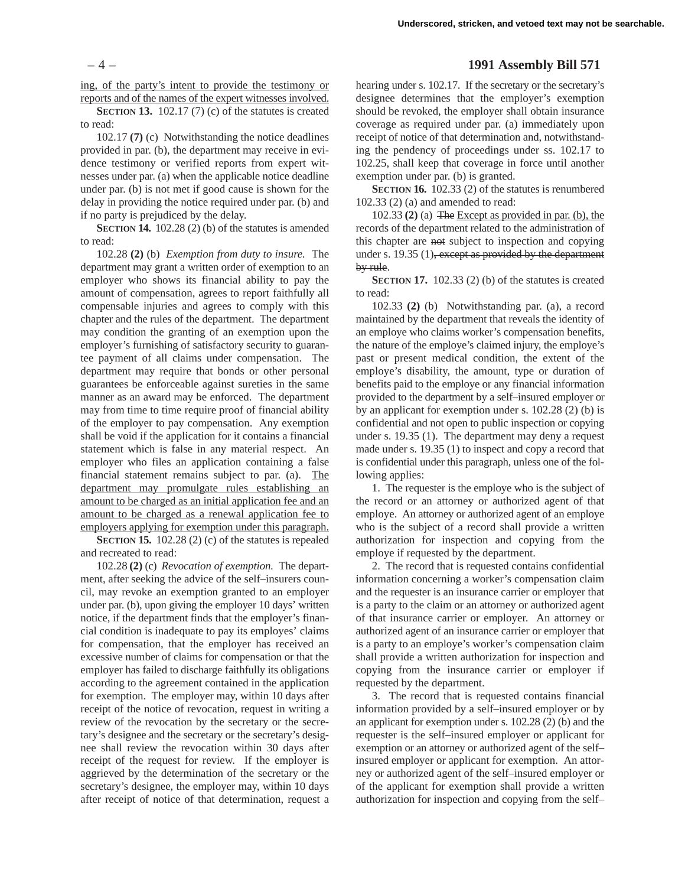ing, of the party's intent to provide the testimony or reports and of the names of the expert witnesses involved.

**SECTION 13.** 102.17 (7) (c) of the statutes is created to read:

102.17 **(7)** (c) Notwithstanding the notice deadlines provided in par. (b), the department may receive in evidence testimony or verified reports from expert witnesses under par. (a) when the applicable notice deadline under par. (b) is not met if good cause is shown for the delay in providing the notice required under par. (b) and if no party is prejudiced by the delay.

**SECTION 14.** 102.28 (2) (b) of the statutes is amended to read:

102.28 **(2)** (b) *Exemption from duty to insure.* The department may grant a written order of exemption to an employer who shows its financial ability to pay the amount of compensation, agrees to report faithfully all compensable injuries and agrees to comply with this chapter and the rules of the department. The department may condition the granting of an exemption upon the employer's furnishing of satisfactory security to guarantee payment of all claims under compensation. The department may require that bonds or other personal guarantees be enforceable against sureties in the same manner as an award may be enforced. The department may from time to time require proof of financial ability of the employer to pay compensation. Any exemption shall be void if the application for it contains a financial statement which is false in any material respect. An employer who files an application containing a false financial statement remains subject to par. (a). The department may promulgate rules establishing an amount to be charged as an initial application fee and an amount to be charged as a renewal application fee to employers applying for exemption under this paragraph.

**SECTION 15.** 102.28 (2) (c) of the statutes is repealed and recreated to read:

102.28 **(2)** (c) *Revocation of exemption.* The department, after seeking the advice of the self–insurers council, may revoke an exemption granted to an employer under par. (b), upon giving the employer 10 days' written notice, if the department finds that the employer's financial condition is inadequate to pay its employes' claims for compensation, that the employer has received an excessive number of claims for compensation or that the employer has failed to discharge faithfully its obligations according to the agreement contained in the application for exemption. The employer may, within 10 days after receipt of the notice of revocation, request in writing a review of the revocation by the secretary or the secretary's designee and the secretary or the secretary's designee shall review the revocation within 30 days after receipt of the request for review. If the employer is aggrieved by the determination of the secretary or the secretary's designee, the employer may, within 10 days after receipt of notice of that determination, request a

## – 4 – **1991 Assembly Bill 571**

hearing under s. 102.17. If the secretary or the secretary's designee determines that the employer's exemption should be revoked, the employer shall obtain insurance coverage as required under par. (a) immediately upon receipt of notice of that determination and, notwithstanding the pendency of proceedings under ss. 102.17 to 102.25, shall keep that coverage in force until another exemption under par. (b) is granted.

**SECTION 16.** 102.33 (2) of the statutes is renumbered 102.33 (2) (a) and amended to read:

102.33 **(2)** (a) The Except as provided in par. (b), the records of the department related to the administration of this chapter are not subject to inspection and copying under s.  $19.35$  (1), except as provided by the department by rule.

**SECTION 17.** 102.33 (2) (b) of the statutes is created to read:

102.33 **(2)** (b) Notwithstanding par. (a), a record maintained by the department that reveals the identity of an employe who claims worker's compensation benefits, the nature of the employe's claimed injury, the employe's past or present medical condition, the extent of the employe's disability, the amount, type or duration of benefits paid to the employe or any financial information provided to the department by a self–insured employer or by an applicant for exemption under s. 102.28 (2) (b) is confidential and not open to public inspection or copying under s. 19.35 (1). The department may deny a request made under s. 19.35 (1) to inspect and copy a record that is confidential under this paragraph, unless one of the following applies:

1. The requester is the employe who is the subject of the record or an attorney or authorized agent of that employe. An attorney or authorized agent of an employe who is the subject of a record shall provide a written authorization for inspection and copying from the employe if requested by the department.

2. The record that is requested contains confidential information concerning a worker's compensation claim and the requester is an insurance carrier or employer that is a party to the claim or an attorney or authorized agent of that insurance carrier or employer. An attorney or authorized agent of an insurance carrier or employer that is a party to an employe's worker's compensation claim shall provide a written authorization for inspection and copying from the insurance carrier or employer if requested by the department.

3. The record that is requested contains financial information provided by a self–insured employer or by an applicant for exemption under s. 102.28 (2) (b) and the requester is the self–insured employer or applicant for exemption or an attorney or authorized agent of the self– insured employer or applicant for exemption. An attorney or authorized agent of the self–insured employer or of the applicant for exemption shall provide a written authorization for inspection and copying from the self–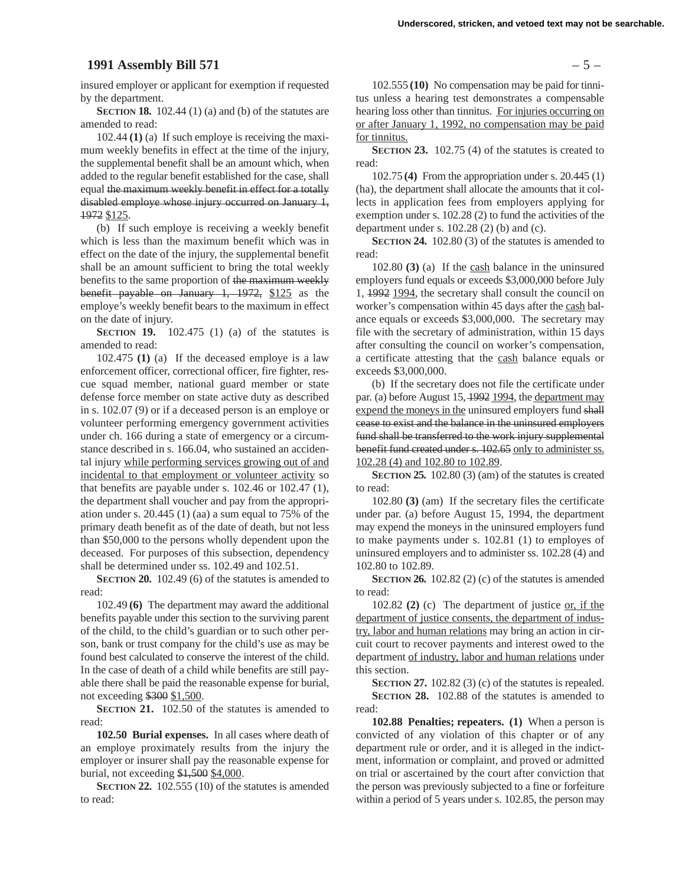#### **1991 Assembly Bill 571** – 5 –

insured employer or applicant for exemption if requested by the department.

**SECTION 18.** 102.44 (1) (a) and (b) of the statutes are amended to read:

102.44 **(1)** (a) If such employe is receiving the maximum weekly benefits in effect at the time of the injury, the supplemental benefit shall be an amount which, when added to the regular benefit established for the case, shall equal the maximum weekly benefit in effect for a totally disabled employe whose injury occurred on January 1, 1972 \$125.

(b) If such employe is receiving a weekly benefit which is less than the maximum benefit which was in effect on the date of the injury, the supplemental benefit shall be an amount sufficient to bring the total weekly benefits to the same proportion of the maximum weekly benefit payable on January 1, 1972, \$125 as the employe's weekly benefit bears to the maximum in effect on the date of injury.

**SECTION 19.** 102.475 (1) (a) of the statutes is amended to read:

102.475 **(1)** (a) If the deceased employe is a law enforcement officer, correctional officer, fire fighter, rescue squad member, national guard member or state defense force member on state active duty as described in s. 102.07 (9) or if a deceased person is an employe or volunteer performing emergency government activities under ch. 166 during a state of emergency or a circumstance described in s. 166.04, who sustained an accidental injury while performing services growing out of and incidental to that employment or volunteer activity so that benefits are payable under s. 102.46 or 102.47 (1), the department shall voucher and pay from the appropriation under s. 20.445 (1) (aa) a sum equal to 75% of the primary death benefit as of the date of death, but not less than \$50,000 to the persons wholly dependent upon the deceased. For purposes of this subsection, dependency shall be determined under ss. 102.49 and 102.51.

**SECTION 20.** 102.49 (6) of the statutes is amended to read:

102.49 **(6)** The department may award the additional benefits payable under this section to the surviving parent of the child, to the child's guardian or to such other person, bank or trust company for the child's use as may be found best calculated to conserve the interest of the child. In the case of death of a child while benefits are still payable there shall be paid the reasonable expense for burial, not exceeding \$300 \$1,500.

**SECTION 21.** 102.50 of the statutes is amended to read:

**102.50 Burial expenses.** In all cases where death of an employe proximately results from the injury the employer or insurer shall pay the reasonable expense for burial, not exceeding \$1,500 \$4,000.

**SECTION 22.** 102.555 (10) of the statutes is amended to read:

102.555 **(10)** No compensation may be paid for tinnitus unless a hearing test demonstrates a compensable hearing loss other than tinnitus. For injuries occurring on or after January 1, 1992, no compensation may be paid for tinnitus.

**SECTION 23.** 102.75 (4) of the statutes is created to read:

102.75 **(4)** From the appropriation under s. 20.445 (1) (ha), the department shall allocate the amounts that it collects in application fees from employers applying for exemption under s. 102.28 (2) to fund the activities of the department under s.  $102.28$  (2) (b) and (c).

**SECTION 24.** 102.80 (3) of the statutes is amended to read:

102.80 **(3)** (a) If the cash balance in the uninsured employers fund equals or exceeds \$3,000,000 before July 1, 1992 1994, the secretary shall consult the council on worker's compensation within 45 days after the cash balance equals or exceeds \$3,000,000. The secretary may file with the secretary of administration, within 15 days after consulting the council on worker's compensation, a certificate attesting that the cash balance equals or exceeds \$3,000,000.

(b) If the secretary does not file the certificate under par. (a) before August 15, 1992 1994, the department may expend the moneys in the uninsured employers fund shall cease to exist and the balance in the uninsured employers fund shall be transferred to the work injury supplemental benefit fund created under s. 102.65 only to administer ss. 102.28 (4) and 102.80 to 102.89.

**SECTION 25.** 102.80 (3) (am) of the statutes is created to read:

102.80 **(3)** (am) If the secretary files the certificate under par. (a) before August 15, 1994, the department may expend the moneys in the uninsured employers fund to make payments under s. 102.81 (1) to employes of uninsured employers and to administer ss. 102.28 (4) and 102.80 to 102.89.

**SECTION 26.** 102.82 (2) (c) of the statutes is amended to read:

102.82 **(2)** (c) The department of justice or, if the department of justice consents, the department of industry, labor and human relations may bring an action in circuit court to recover payments and interest owed to the department of industry, labor and human relations under this section.

**SECTION 27.** 102.82 (3) (c) of the statutes is repealed. **SECTION 28.** 102.88 of the statutes is amended to read:

**102.88 Penalties; repeaters. (1)** When a person is convicted of any violation of this chapter or of any department rule or order, and it is alleged in the indictment, information or complaint, and proved or admitted on trial or ascertained by the court after conviction that the person was previously subjected to a fine or forfeiture within a period of 5 years under s. 102.85, the person may